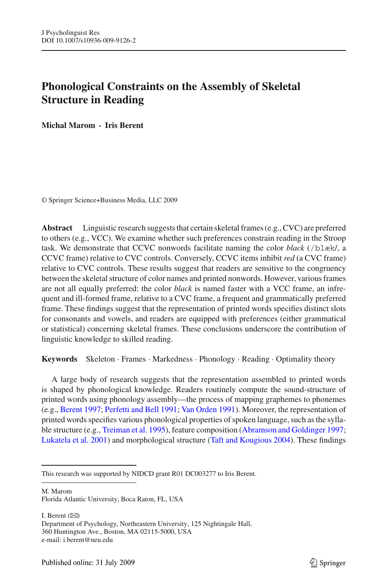# **Phonological Constraints on the Assembly of Skeletal Structure in Reading**

**Michal Marom** · **Iris Berent**

© Springer Science+Business Media, LLC 2009

**Abstract** Linguistic research suggests that certain skeletal frames (e.g., CVC) are preferred to others (e.g., VCC). We examine whether such preferences constrain reading in the Stroop task. We demonstrate that CCVC nonwords facilitate naming the color *black* (/blæk/, a CCVC frame) relative to CVC controls. Conversely, CCVC items inhibit *red* (a CVC frame) relative to CVC controls. These results suggest that readers are sensitive to the congruency between the skeletal structure of color names and printed nonwords. However, various frames are not all equally preferred: the color *black* is named faster with a VCC frame, an infrequent and ill-formed frame, relative to a CVC frame, a frequent and grammatically preferred frame. These findings suggest that the representation of printed words specifies distinct slots for consonants and vowels, and readers are equipped with preferences (either grammatical or statistical) concerning skeletal frames. These conclusions underscore the contribution of linguistic knowledge to skilled reading.

**Keywords** Skeleton · Frames · Markedness · Phonology · Reading · Optimality theory

A large body of research suggests that the representation assembled to printed words is shaped by phonological knowledge. Readers routinely compute the sound-structure of printed words using phonology assembly—the process of mapping graphemes to phonemes (e.g., [Berent 1997;](#page-20-0) [Perfetti and Bell 1991](#page-21-1); [Van Orden 1991](#page-21-2)). Moreover, the representation of printed words specifies various phonological properties of spoken language, such as the syllable structure (e.g., [Treiman et al. 1995](#page-21-3)), feature composition [\(Abramson and Goldinger 1997](#page-20-1); [Lukatela et al. 2001\)](#page-21-4) and morphological structure [\(Taft and Kougious 2004\)](#page-21-0). These findings

M. Marom Florida Atlantic University, Boca Raton, FL, USA

I. Berent  $(\boxtimes)$ Department of Psychology, Northeastern University, 125 Nightingale Hall, 360 Huntington Ave., Boston, MA 02115-5000, USA e-mail: i.berent@neu.edu

This research was supported by NIDCD grant R01 DC003277 to Iris Berent.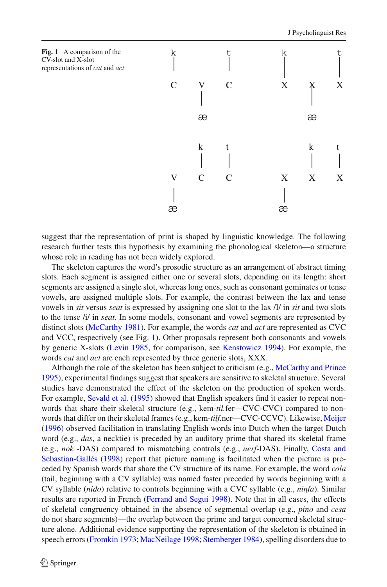<span id="page-1-0"></span>

suggest that the representation of print is shaped by linguistic knowledge. The following research further tests this hypothesis by examining the phonological skeleton—a structure whose role in reading has not been widely explored.

The skeleton captures the word's prosodic structure as an arrangement of abstract timing slots. Each segment is assigned either one or several slots, depending on its length: short segments are assigned a single slot, whereas long ones, such as consonant geminates or tense vowels, are assigned multiple slots. For example, the contrast between the lax and tense vowels in *sit* versus *seat* is expressed by assigning one slot to the lax /I/ in *sit* and two slots to the tense /i/ in *seat.* In some models, consonant and vowel segments are represented by distinct slots [\(McCarthy 1981](#page-21-6)). For example, the words *cat* and *act* are represented as CVC and VCC, respectively (see Fig. [1\)](#page-1-0). Other proposals represent both consonants and vowels by generic X-slots [\(Levin 1985](#page-21-7), for comparison, see [Kenstowicz 1994](#page-21-8)). For example, the words *cat* and *act* are each represented by three generic slots, XXX.

Although the role of the skeleton has been subject to criticism (e.g., [McCarthy and Prince](#page-21-9) [1995](#page-21-9)), experimental findings suggest that speakers are sensitive to skeletal structure. Several studies have demonstrated the effect of the skeleton on the production of spoken words. For example, [Sevald et al.](#page-21-10) [\(1995](#page-21-10)) showed that English speakers find it easier to repeat nonwords that share their skeletal structure (e.g., kem-*til.*fer—CVC-CVC) compared to nonwords that differ on their skeletal frames (e.g., kem-*tilf.*ner—CVC-CCVC). Likewise, [Meijer](#page-21-11) [\(1996](#page-21-11)) observed facilitation in translating English words into Dutch when the target Dutch word (e.g., *das*, a necktie) is preceded by an auditory prime that shared its skeletal frame (e.g., *nok* -DAS[\) compared to mismatching controls \(e.g.,](#page-21-12) *nerf*-DAS). Finally, Costa and Sebastian-Gallés [\(1998](#page-21-12)) report that picture naming is facilitated when the picture is preceded by Spanish words that share the CV structure of its name. For example, the word *cola* (tail, beginning with a CV syllable) was named faster preceded by words beginning with a CV syllable (*nido*) relative to controls beginning with a CVC syllable (e.g., *ninfa*). Similar results are reported in French [\(Ferrand and Segui 1998\)](#page-21-13). Note that in all cases, the effects of skeletal congruency obtained in the absence of segmental overlap (e.g., *pino* and *cesa* do not share segments)—the overlap between the prime and target concerned skeletal structure alone. Additional evidence supporting the representation of the skeleton is obtained in speech errors [\(Fromkin 1973;](#page-21-14) [MacNeilage 1998](#page-21-15); [Stemberger 1984\)](#page-21-5), spelling disorders due to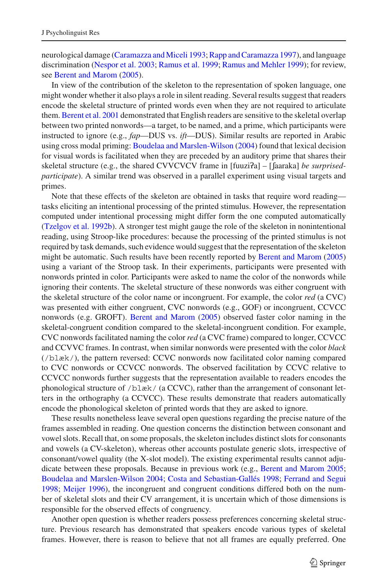neurological damage [\(Caramazza and Miceli 1993;](#page-21-16) [Rapp and Caramazza 1997\)](#page-21-17), and language discrimination [\(Nespor et al. 2003;](#page-21-18) [Ramus et al. 1999;](#page-21-19) [Ramus and Mehler 1999](#page-21-20)); for review, see [Berent and Marom](#page-20-2) [\(2005\)](#page-20-2).

In view of the contribution of the skeleton to the representation of spoken language, one might wonder whether it also plays a role in silent reading. Several results suggest that readers encode the skeletal structure of printed words even when they are not required to articulate them. [Berent et al. 2001](#page-20-3) demonstrated that English readers are sensitive to the skeletal overlap between two printed nonwords—a target, to be named, and a prime, which participants were instructed to ignore (e.g., *fap*—DUS vs. *ift*—DUS). Similar results are reported in Arabic using cross modal priming: [Boudelaa and Marslen-Wilson](#page-20-4) [\(2004](#page-20-4)) found that lexical decision for visual words is facilitated when they are preceded by an auditory prime that shares their skeletal structure (e.g., the shared CVVCVCV frame in [fuuzi<sup>2</sup>a] – [[aaraka] *be surprisedparticipate*). A similar trend was observed in a parallel experiment using visual targets and primes.

Note that these effects of the skeleton are obtained in tasks that require word reading tasks eliciting an intentional processing of the printed stimulus. However, the representation computed under intentional processing might differ form the one computed automatically [\(Tzelgov et al. 1992b](#page-21-21)). A stronger test might gauge the role of the skeleton in nonintentional reading, using Stroop-like procedures: because the processing of the printed stimulus is not required by task demands, such evidence would suggest that the representation of the skeleton might be automatic. Such results have been recently reported by [Berent and Marom](#page-20-2) [\(2005\)](#page-20-2) using a variant of the Stroop task. In their experiments, participants were presented with nonwords printed in color. Participants were asked to name the color of the nonwords while ignoring their contents. The skeletal structure of these nonwords was either congruent with the skeletal structure of the color name or incongruent. For example, the color *red* (a CVC) was presented with either congruent, CVC nonwords (e.g., GOF) or incongruent, CCVCC nonwords (e.g. GROFT). [Berent and Marom](#page-20-2) [\(2005](#page-20-2)) observed faster color naming in the skeletal-congruent condition compared to the skeletal-incongruent condition. For example, CVC nonwords facilitated naming the color *red* (a CVC frame) compared to longer, CCVCC and CCVVC frames. In contrast, when similar nonwords were presented with the color *black* (/blæk/), the pattern reversed: CCVC nonwords now facilitated color naming compared to CVC nonwords or CCVCC nonwords. The observed facilitation by CCVC relative to CCVCC nonwords further suggests that the representation available to readers encodes the phonological structure of /blæk/ (a CCVC), rather than the arrangement of consonant letters in the orthography (a CCVCC). These results demonstrate that readers automatically encode the phonological skeleton of printed words that they are asked to ignore.

These results nonetheless leave several open questions regarding the precise nature of the frames assembled in reading. One question concerns the distinction between consonant and vowel slots. Recall that, on some proposals, the skeleton includes distinct slots for consonants and vowels (a CV-skeleton), whereas other accounts postulate generic slots, irrespective of consonant/vowel quality (the X-slot model). The existing experimental results cannot adjudicate between these proposals. Because in previous work (e.g., [Berent and Marom 2005](#page-20-2); [Boudelaa and Marslen-Wilson 2004](#page-20-4); [Costa and Sebastian-Gallés 1998](#page-21-12); [Ferrand and Segui](#page-21-13) [1998](#page-21-13); [Meijer 1996](#page-21-11)), the incongruent and congruent conditions differed both on the number of skeletal slots and their CV arrangement, it is uncertain which of those dimensions is responsible for the observed effects of congruency.

Another open question is whether readers possess preferences concerning skeletal structure. Previous research has demonstrated that speakers encode various types of skeletal frames. However, there is reason to believe that not all frames are equally preferred. One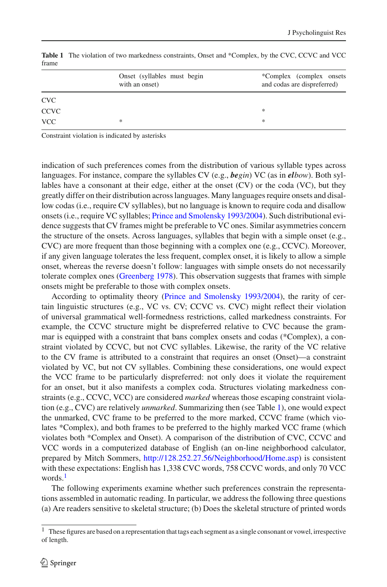|             | Onset (syllables must begin<br>with an onset) | *Complex (complex onsets)<br>and codas are dispreferred) |
|-------------|-----------------------------------------------|----------------------------------------------------------|
| <b>CVC</b>  |                                               |                                                          |
| <b>CCVC</b> |                                               | $*$                                                      |
| <b>VCC</b>  | *                                             | $*$                                                      |

<span id="page-3-1"></span>**Table 1** The violation of two markedness constraints, Onset and \*Complex, by the CVC, CCVC and VCC frame

Constraint violation is indicated by asterisks

indication of such preferences comes from the distribution of various syllable types across languages. For instance, compare the syllables CV (e.g., *begin*) VC (as in *elbow*). Both syllables have a consonant at their edge, either at the onset (CV) or the coda (VC), but they greatly differ on their distribution across languages. Many languages require onsets and disallow codas (i.e., require CV syllables), but no language is known to require coda and disallow onsets (i.e., require VC syllables; [Prince and Smolensky 1993/2004](#page-21-22)). Such distributional evidence suggests that CV frames might be preferable to VC ones. Similar asymmetries concern the structure of the onsets. Across languages, syllables that begin with a simple onset (e.g., CVC) are more frequent than those beginning with a complex one (e.g., CCVC). Moreover, if any given language tolerates the less frequent, complex onset, it is likely to allow a simple onset, whereas the reverse doesn't follow: languages with simple onsets do not necessarily tolerate complex ones [\(Greenberg 1978](#page-21-23)). This observation suggests that frames with simple onsets might be preferable to those with complex onsets.

According to optimality theory [\(Prince and Smolensky 1993/2004](#page-21-22)), the rarity of certain linguistic structures (e.g., VC vs. CV; CCVC vs. CVC) might reflect their violation of universal grammatical well-formedness restrictions, called markedness constraints. For example, the CCVC structure might be dispreferred relative to CVC because the grammar is equipped with a constraint that bans complex onsets and codas (\*Complex), a constraint violated by CCVC, but not CVC syllables. Likewise, the rarity of the VC relative to the CV frame is attributed to a constraint that requires an onset (Onset)—a constraint violated by VC, but not CV syllables. Combining these considerations, one would expect the VCC frame to be particularly dispreferred: not only does it violate the requirement for an onset, but it also manifests a complex coda. Structures violating markedness constraints (e.g., CCVC, VCC) are considered *marked* whereas those escaping constraint violation (e.g., CVC) are relatively *unmarked*. Summarizing then (see Table [1\)](#page-3-1), one would expect the unmarked, CVC frame to be preferred to the more marked, CCVC frame (which violates \*Complex), and both frames to be preferred to the highly marked VCC frame (which violates both \*Complex and Onset). A comparison of the distribution of CVC, CCVC and VCC words in a computerized database of English (an on-line neighborhood calculator, prepared by Mitch Sommers, [http://128.252.27.56/Neighborhood/Home.asp\)](http://128.252.27.56/Neighborhood/Home.asp) is consistent with these expectations: English has 1,338 CVC words, 758 CCVC words, and only 70 VCC words.<sup>1</sup>

The following experiments examine whether such preferences constrain the representations assembled in automatic reading. In particular, we address the following three questions (a) Are readers sensitive to skeletal structure; (b) Does the skeletal structure of printed words

<span id="page-3-0"></span><sup>1</sup> These figures are based on a representation that tags each segment as a single consonant or vowel, irrespective of length.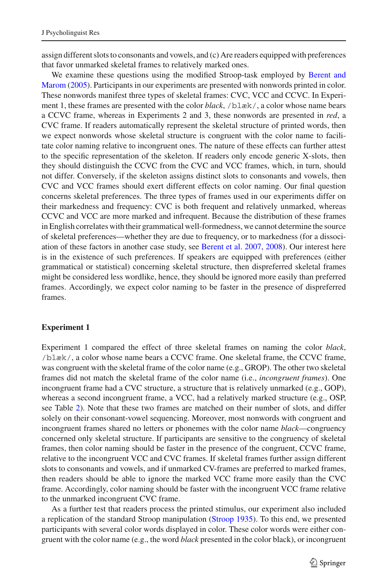assign different slots to consonants and vowels, and (c) Are readers equipped with preferences that favor unmarked skeletal frames to relatively marked ones.

We [examine these questions using the modified Stroop-task employed by](#page-20-2) Berent and Marom [\(2005](#page-20-2)). Participants in our experiments are presented with nonwords printed in color. These nonwords manifest three types of skeletal frames: CVC, VCC and CCVC. In Experiment 1, these frames are presented with the color *black*, /blæk/, a color whose name bears a CCVC frame, whereas in Experiments 2 and 3, these nonwords are presented in *red*, a CVC frame. If readers automatically represent the skeletal structure of printed words, then we expect nonwords whose skeletal structure is congruent with the color name to facilitate color naming relative to incongruent ones. The nature of these effects can further attest to the specific representation of the skeleton. If readers only encode generic X-slots, then they should distinguish the CCVC from the CVC and VCC frames, which, in turn, should not differ. Conversely, if the skeleton assigns distinct slots to consonants and vowels, then CVC and VCC frames should exert different effects on color naming. Our final question concerns skeletal preferences. The three types of frames used in our experiments differ on their markedness and frequency: CVC is both frequent and relatively unmarked, whereas CCVC and VCC are more marked and infrequent. Because the distribution of these frames in English correlates with their grammatical well-formedness, we cannot determine the source of skeletal preferences—whether they are due to frequency, or to markedness (for a dissociation of these factors in another case study, see [Berent et al. 2007,](#page-20-5) [2008\)](#page-20-6). Our interest here is in the existence of such preferences. If speakers are equipped with preferences (either grammatical or statistical) concerning skeletal structure, then dispreferred skeletal frames might be considered less wordlike, hence, they should be ignored more easily than preferred frames. Accordingly, we expect color naming to be faster in the presence of dispreferred frames.

#### **Experiment 1**

Experiment 1 compared the effect of three skeletal frames on naming the color *black*, /blæk/, a color whose name bears a CCVC frame. One skeletal frame, the CCVC frame, was congruent with the skeletal frame of the color name (e.g., GROP). The other two skeletal frames did not match the skeletal frame of the color name (i.e., *incongruent frames*). One incongruent frame had a CVC structure, a structure that is relatively unmarked (e.g., GOP), whereas a second incongruent frame, a VCC, had a relatively marked structure (e.g., OSP, see Table [2\)](#page-5-0). Note that these two frames are matched on their number of slots, and differ solely on their consonant-vowel sequencing. Moreover, most nonwords with congruent and incongruent frames shared no letters or phonemes with the color name *black*—congruency concerned only skeletal structure. If participants are sensitive to the congruency of skeletal frames, then color naming should be faster in the presence of the congruent, CCVC frame, relative to the incongruent VCC and CVC frames. If skeletal frames further assign different slots to consonants and vowels, and if unmarked CV-frames are preferred to marked frames, then readers should be able to ignore the marked VCC frame more easily than the CVC frame. Accordingly, color naming should be faster with the incongruent VCC frame relative to the unmarked incongruent CVC frame.

As a further test that readers process the printed stimulus, our experiment also included a replication of the standard Stroop manipulation [\(Stroop 1935](#page-21-24)). To this end, we presented participants with several color words displayed in color. These color words were either congruent with the color name (e.g., the word *black* presented in the color black), or incongruent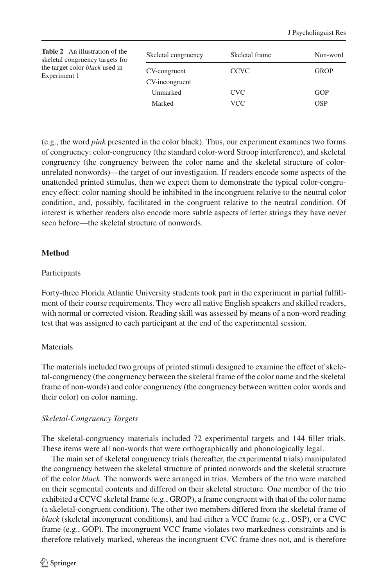<span id="page-5-0"></span>

| <b>Table 2</b> An illustration of the<br>skeletal congruency targets for | Skeletal congruency            | Skeletal frame | Non-word    |
|--------------------------------------------------------------------------|--------------------------------|----------------|-------------|
| the target color <i>black</i> used in<br>Experiment 1                    | CV-congruent<br>CV-incongruent | <b>CCVC</b>    | <b>GROP</b> |
|                                                                          | Unmarked                       | <b>CVC</b>     | <b>GOP</b>  |
|                                                                          | Marked                         | VCC.           | <b>OSP</b>  |

(e.g., the word *pink* presented in the color black). Thus, our experiment examines two forms of congruency: color-congruency (the standard color-word Stroop interference), and skeletal congruency (the congruency between the color name and the skeletal structure of colorunrelated nonwords)—the target of our investigation. If readers encode some aspects of the unattended printed stimulus, then we expect them to demonstrate the typical color-congruency effect: color naming should be inhibited in the incongruent relative to the neutral color condition, and, possibly, facilitated in the congruent relative to the neutral condition. Of interest is whether readers also encode more subtle aspects of letter strings they have never seen before—the skeletal structure of nonwords.

# **Method**

### Participants

Forty-three Florida Atlantic University students took part in the experiment in partial fulfillment of their course requirements. They were all native English speakers and skilled readers, with normal or corrected vision. Reading skill was assessed by means of a non-word reading test that was assigned to each participant at the end of the experimental session.

# Materials

The materials included two groups of printed stimuli designed to examine the effect of skeletal-congruency (the congruency between the skeletal frame of the color name and the skeletal frame of non-words) and color congruency (the congruency between written color words and their color) on color naming.

#### *Skeletal-Congruency Targets*

The skeletal-congruency materials included 72 experimental targets and 144 filler trials. These items were all non-words that were orthographically and phonologically legal.

The main set of skeletal congruency trials (hereafter, the experimental trials) manipulated the congruency between the skeletal structure of printed nonwords and the skeletal structure of the color *black*. The nonwords were arranged in trios. Members of the trio were matched on their segmental contents and differed on their skeletal structure. One member of the trio exhibited a CCVC skeletal frame (e.g., GROP), a frame congruent with that of the color name (a skeletal-congruent condition). The other two members differed from the skeletal frame of *black* (skeletal incongruent conditions), and had either a VCC frame (e.g., OSP), or a CVC frame (e.g., GOP). The incongruent VCC frame violates two markedness constraints and is therefore relatively marked, whereas the incongruent CVC frame does not, and is therefore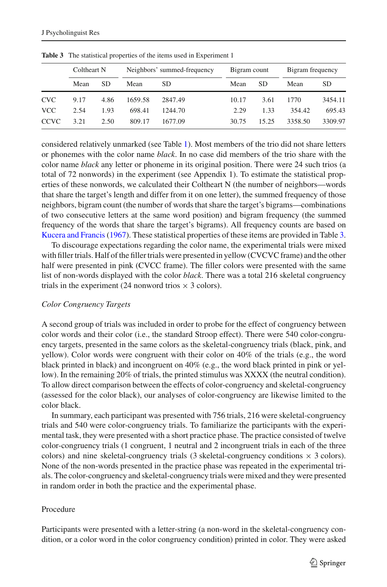<span id="page-6-0"></span>

|             | Coltheart N |      | Neighbors' summed-frequency |         |       | Bigram count |         | Bigram frequency |  |
|-------------|-------------|------|-----------------------------|---------|-------|--------------|---------|------------------|--|
|             | Mean        | SD.  | Mean                        | SD      | Mean  | SD           | Mean    | <b>SD</b>        |  |
| <b>CVC</b>  | 9.17        | 4.86 | 1659.58                     | 2847.49 | 10.17 | 3.61         | 1770    | 3454.11          |  |
| <b>VCC</b>  | 2.54        | 1.93 | 698.41                      | 1244.70 | 2.29  | 1.33         | 354.42  | 695.43           |  |
| <b>CCVC</b> | 3.21        | 2.50 | 809.17                      | 1677.09 | 30.75 | 15.25        | 3358.50 | 3309.97          |  |

**Table 3** The statistical properties of the items used in Experiment 1

considered relatively unmarked (see Table [1\)](#page-3-1). Most members of the trio did not share letters or phonemes with the color name *black*. In no case did members of the trio share with the color name *black* any letter or phoneme in its original position. There were 24 such trios (a total of 72 nonwords) in the experiment (see Appendix 1). To estimate the statistical properties of these nonwords, we calculated their Coltheart N (the number of neighbors—words that share the target's length and differ from it on one letter), the summed frequency of those neighbors, bigram count (the number of words that share the target's bigrams—combinations of two consecutive letters at the same word position) and bigram frequency (the summed frequency of the words that share the target's bigrams). All frequency counts are based on Kucera and Francis (1967). These statistical properties of these items are provided in Table [3.](#page-6-0)

To discourage expectations regarding the color name, the experimental trials were mixed with filler trials. Half of the filler trials were presented in yellow (CVCVC frame) and the other half were presented in pink (CVCC frame). The filler colors were presented with the same list of non-words displayed with the color *black*. There was a total 216 skeletal congruency trials in the experiment (24 nonword trios  $\times$  3 colors).

#### *Color Congruency Targets*

A second group of trials was included in order to probe for the effect of congruency between color words and their color (i.e., the standard Stroop effect). There were 540 color-congruency targets, presented in the same colors as the skeletal-congruency trials (black, pink, and yellow). Color words were congruent with their color on 40% of the trials (e.g., the word black printed in black) and incongruent on 40% (e.g., the word black printed in pink or yellow). In the remaining 20% of trials, the printed stimulus was XXXX (the neutral condition). To allow direct comparison between the effects of color-congruency and skeletal-congruency (assessed for the color black), our analyses of color-congruency are likewise limited to the color black.

In summary, each participant was presented with 756 trials, 216 were skeletal-congruency trials and 540 were color-congruency trials. To familiarize the participants with the experimental task, they were presented with a short practice phase. The practice consisted of twelve color-congruency trials (1 congruent, 1 neutral and 2 incongruent trials in each of the three colors) and nine skeletal-congruency trials  $(3$  skeletal-congruency conditions  $\times$  3 colors). None of the non-words presented in the practice phase was repeated in the experimental trials. The color-congruency and skeletal-congruency trials were mixed and they were presented in random order in both the practice and the experimental phase.

#### Procedure

Participants were presented with a letter-string (a non-word in the skeletal-congruency condition, or a color word in the color congruency condition) printed in color. They were asked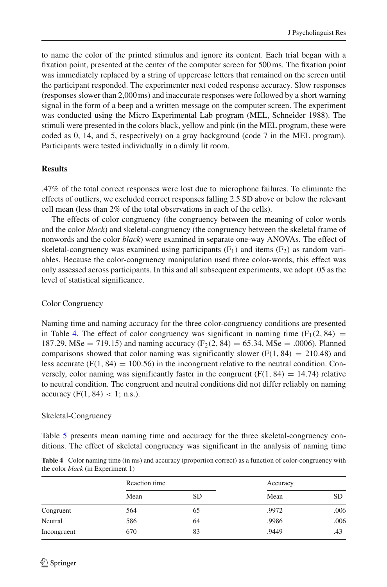to name the color of the printed stimulus and ignore its content. Each trial began with a fixation point, presented at the center of the computer screen for 500 ms. The fixation point was immediately replaced by a string of uppercase letters that remained on the screen until the participant responded. The experimenter next coded response accuracy. Slow responses (responses slower than 2,000 ms) and inaccurate responses were followed by a short warning signal in the form of a beep and a written message on the computer screen. The experiment was conducted using the Micro Experimental Lab program (MEL, Schneider 1988). The stimuli were presented in the colors black, yellow and pink (in the MEL program, these were coded as 0, 14, and 5, respectively) on a gray background (code 7 in the MEL program). Participants were tested individually in a dimly lit room.

#### **Results**

.47% of the total correct responses were lost due to microphone failures. To eliminate the effects of outliers, we excluded correct responses falling 2.5 SD above or below the relevant cell mean (less than 2% of the total observations in each of the cells).

The effects of color congruency (the congruency between the meaning of color words and the color *black*) and skeletal-congruency (the congruency between the skeletal frame of nonwords and the color *black*) were examined in separate one-way ANOVAs. The effect of skeletal-congruency was examined using participants  $(F_1)$  and items  $(F_2)$  as random variables. Because the color-congruency manipulation used three color-words, this effect was only assessed across participants. In this and all subsequent experiments, we adopt .05 as the level of statistical significance.

#### Color Congruency

Naming time and naming accuracy for the three color-congruency conditions are presented in Table [4.](#page-7-0) The effect of color congruency was significant in naming time  $(F_1(2, 84) =$ 187.29, MSe = 719.15) and naming accuracy  $(F_2(2, 84) = 65.34, \text{MSe} = .0006)$ . Planned comparisons showed that color naming was significantly slower  $(F(1, 84) = 210.48)$  and less accurate  $(F(1, 84) = 100.56)$  in the incongruent relative to the neutral condition. Conversely, color naming was significantly faster in the congruent  $(F(1, 84) = 14.74)$  relative to neutral condition. The congruent and neutral conditions did not differ reliably on naming accuracy  $(F(1, 84) < 1; n.s.).$ 

#### Skeletal-Congruency

Table [5](#page-8-0) presents mean naming time and accuracy for the three skeletal-congruency conditions. The effect of skeletal congruency was significant in the analysis of naming time

|             | Reaction time |    | Accuracy |      |
|-------------|---------------|----|----------|------|
|             | Mean          | SD | Mean     | SD   |
| Congruent   | 564           | 65 | .9972    | .006 |
| Neutral     | 586           | 64 | .9986    | .006 |
| Incongruent | 670           | 83 | .9449    | .43  |

<span id="page-7-0"></span>**Table 4** Color naming time (in ms) and accuracy (proportion correct) as a function of color-congruency with the color *black* (in Experiment 1)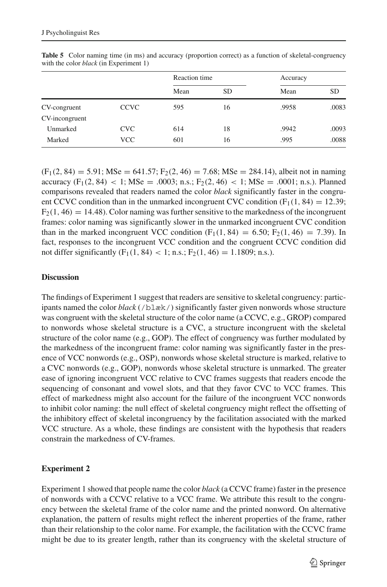|                |             | Reaction time |           | Accuracy |           |
|----------------|-------------|---------------|-----------|----------|-----------|
|                |             | Mean          | <b>SD</b> | Mean     | <b>SD</b> |
| CV-congruent   | <b>CCVC</b> | 595           | 16        | .9958    | .0083     |
| CV-incongruent |             |               |           |          |           |
| Unmarked       | <b>CVC</b>  | 614           | 18        | .9942    | .0093     |
| Marked         | <b>VCC</b>  | 601           | 16        | .995     | .0088     |

<span id="page-8-0"></span>Table 5 Color naming time (in ms) and accuracy (proportion correct) as a function of skeletal-congruency with the color *black* (in Experiment 1)

 $(F_1(2, 84) = 5.91; \text{MSe} = 641.57; F_2(2, 46) = 7.68; \text{MSe} = 284.14$ ), albeit not in naming accuracy  $(F_1(2, 84) < 1$ ; MSe = .0003; n.s.;  $F_2(2, 46) < 1$ ; MSe = .0001; n.s.). Planned comparisons revealed that readers named the color *black* significantly faster in the congruent CCVC condition than in the unmarked incongruent CVC condition  $(F_1(1, 84) = 12.39;$  $F_2(1, 46) = 14.48$ ). Color naming was further sensitive to the markedness of the incongruent frames: color naming was significantly slower in the unmarked incongruent CVC condition than in the marked incongruent VCC condition (F<sub>1</sub>(1, 84) = 6.50; F<sub>2</sub>(1, 46) = 7.39). In fact, responses to the incongruent VCC condition and the congruent CCVC condition did not differ significantly  $(F_1(1, 84) < 1; n.s.; F_2(1, 46) = 1.1809; n.s.).$ 

### **Discussion**

The findings of Experiment 1 suggest that readers are sensitive to skeletal congruency: participants named the color *black* (/blæk/) significantly faster given nonwords whose structure was congruent with the skeletal structure of the color name (a CCVC, e.g., GROP) compared to nonwords whose skeletal structure is a CVC, a structure incongruent with the skeletal structure of the color name  $(e.g., GOP)$ . The effect of congruency was further modulated by the markedness of the incongruent frame: color naming was significantly faster in the presence of VCC nonwords (e.g., OSP), nonwords whose skeletal structure is marked, relative to a CVC nonwords (e.g., GOP), nonwords whose skeletal structure is unmarked. The greater ease of ignoring incongruent VCC relative to CVC frames suggests that readers encode the sequencing of consonant and vowel slots, and that they favor CVC to VCC frames. This effect of markedness might also account for the failure of the incongruent VCC nonwords to inhibit color naming: the null effect of skeletal congruency might reflect the offsetting of the inhibitory effect of skeletal incongruency by the facilitation associated with the marked VCC structure. As a whole, these findings are consistent with the hypothesis that readers constrain the markedness of CV-frames.

# **Experiment 2**

Experiment 1 showed that people name the color *black* (a CCVC frame) faster in the presence of nonwords with a CCVC relative to a VCC frame. We attribute this result to the congruency between the skeletal frame of the color name and the printed nonword. On alternative explanation, the pattern of results might reflect the inherent properties of the frame, rather than their relationship to the color name. For example, the facilitation with the CCVC frame might be due to its greater length, rather than its congruency with the skeletal structure of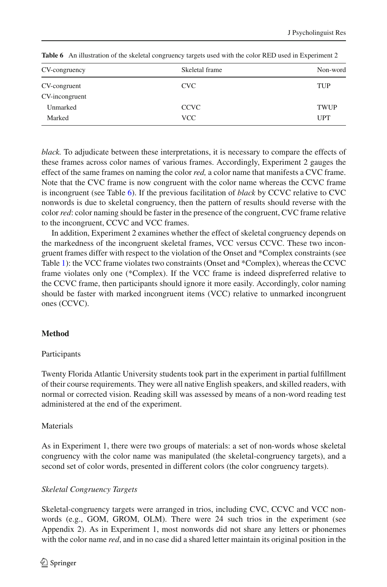<span id="page-9-0"></span>

| Skeletal frame | Non-word    |
|----------------|-------------|
| <b>CVC</b>     | TUP         |
|                |             |
| <b>CCVC</b>    | <b>TWUP</b> |
| <b>VCC</b>     | UPT         |
|                |             |

**Table 6** An illustration of the skeletal congruency targets used with the color RED used in Experiment 2

*black.* To adjudicate between these interpretations, it is necessary to compare the effects of these frames across color names of various frames. Accordingly, Experiment 2 gauges the effect of the same frames on naming the color *red,* a color name that manifests a CVC frame. Note that the CVC frame is now congruent with the color name whereas the CCVC frame is incongruent (see Table [6\)](#page-9-0). If the previous facilitation of *black* by CCVC relative to CVC nonwords is due to skeletal congruency, then the pattern of results should reverse with the color*red*: color naming should be faster in the presence of the congruent, CVC frame relative to the incongruent, CCVC and VCC frames.

In addition, Experiment 2 examines whether the effect of skeletal congruency depends on the markedness of the incongruent skeletal frames, VCC versus CCVC. These two incongruent frames differ with respect to the violation of the Onset and \*Complex constraints (see Table [1\)](#page-3-1): the VCC frame violates two constraints (Onset and \*Complex), whereas the CCVC frame violates only one (\*Complex). If the VCC frame is indeed dispreferred relative to the CCVC frame, then participants should ignore it more easily. Accordingly, color naming should be faster with marked incongruent items (VCC) relative to unmarked incongruent ones (CCVC).

# **Method**

# Participants

Twenty Florida Atlantic University students took part in the experiment in partial fulfillment of their course requirements. They were all native English speakers, and skilled readers, with normal or corrected vision. Reading skill was assessed by means of a non-word reading test administered at the end of the experiment.

#### Materials

As in Experiment 1, there were two groups of materials: a set of non-words whose skeletal congruency with the color name was manipulated (the skeletal-congruency targets), and a second set of color words, presented in different colors (the color congruency targets).

# *Skeletal Congruency Targets*

Skeletal-congruency targets were arranged in trios, including CVC, CCVC and VCC nonwords (e.g., GOM, GROM, OLM). There were 24 such trios in the experiment (see Appendix 2). As in Experiment 1, most nonwords did not share any letters or phonemes with the color name *red*, and in no case did a shared letter maintain its original position in the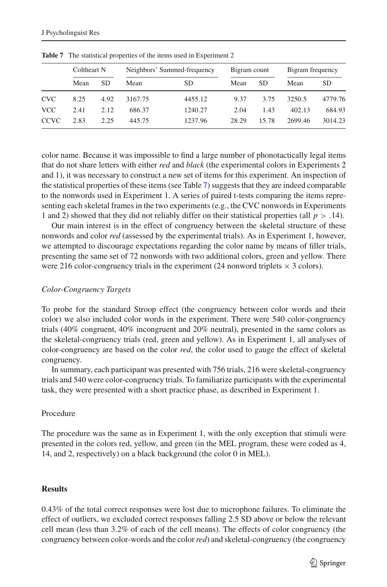<span id="page-10-0"></span>

|             | Coltheart N |           | Neighbors' Summed-frequency |         | Bigram count |       | Bigram frequency |           |
|-------------|-------------|-----------|-----------------------------|---------|--------------|-------|------------------|-----------|
|             | Mean        | <b>SD</b> | Mean                        | SD.     | Mean         | SD.   | Mean             | <b>SD</b> |
| <b>CVC</b>  | 8.25        | 4.92      | 3167.75                     | 4455.12 | 9.37         | 3.75  | 3250.5           | 4779.76   |
| <b>VCC</b>  | 2.41        | 2.12      | 686.37                      | 1240.27 | 2.04         | 1.43  | 402.13           | 684.93    |
| <b>CCVC</b> | 2.83        | 2.25      | 445.75                      | 1237.96 | 28.29        | 15.78 | 2699.46          | 3014.23   |

Table 7 The statistical properties of the items used in Experiment 2

color name. Because it was impossible to find a large number of phonotactically legal items that do not share letters with either *red* and *black* (the experimental colors in Experiments 2 and 1), it was necessary to construct a new set of items for this experiment. An inspection of the statistical properties of these items (see Table [7\)](#page-10-0) suggests that they are indeed comparable to the nonwords used in Experiment 1. A series of paired t-tests comparing the items representing each skeletal frames in the two experiments (e.g., the CVC nonwords in Experiments 1 and 2) showed that they did not reliably differ on their statistical properties (all  $p > .14$ ).

Our main interest is in the effect of congruency between the skeletal structure of these nonwords and color *red* (assessed by the experimental trials). As in Experiment 1, however, we attempted to discourage expectations regarding the color name by means of filler trials, presenting the same set of 72 nonwords with two additional colors, green and yellow. There were 216 color-congruency trials in the experiment (24 nonword triplets  $\times$  3 colors).

#### *Color-Congruency Targets*

To probe for the standard Stroop effect (the congruency between color words and their color) we also included color words in the experiment. There were 540 color-congruency trials (40% congruent, 40% incongruent and 20% neutral), presented in the same colors as the skeletal-congruency trials (red, green and yellow). As in Experiment 1, all analyses of color-congruency are based on the color *red*, the color used to gauge the effect of skeletal congruency.

In summary, each participant was presented with 756 trials, 216 were skeletal-congruency trials and 540 were color-congruency trials. To familiarize participants with the experimental task, they were presented with a short practice phase, as described in Experiment 1.

#### Procedure

The procedure was the same as in Experiment 1, with the only exception that stimuli were presented in the colors red, yellow, and green (in the MEL program, these were coded as 4, 14, and 2, respectively) on a black background (the color 0 in MEL).

#### **Results**

0.43% of the total correct responses were lost due to microphone failures. To eliminate the effect of outliers, we excluded correct responses falling 2.5 SD above or below the relevant cell mean (less than 3.2% of each of the cell means). The effects of color congruency (the congruency between color-words and the color*red*) and skeletal-congruency (the congruency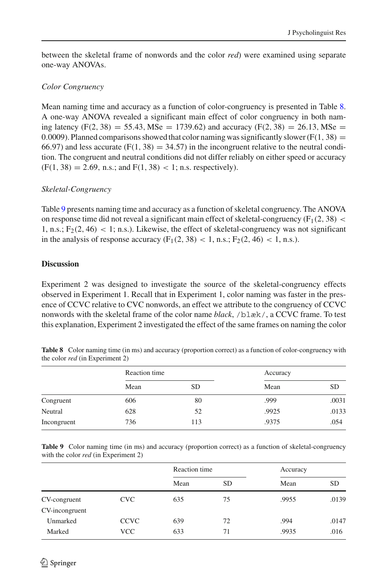between the skeletal frame of nonwords and the color *red*) were examined using separate one-way ANOVAs.

# *Color Congruency*

Mean naming time and accuracy as a function of color-congruency is presented in Table [8.](#page-11-1) A one-way ANOVA revealed a significant main effect of color congruency in both naming latency  $(F(2, 38) = 55.43$ , MSe = 1739.62) and accuracy  $(F(2, 38) = 26.13$ , MSe = 0.0009). Planned comparisons showed that color naming was significantly slower (F(1, 38)  $=$ 66.97) and less accurate (F(1, 38) = 34.57) in the incongruent relative to the neutral condition. The congruent and neutral conditions did not differ reliably on either speed or accuracy  $(F(1, 38) = 2.69, n.s.; and F(1, 38) < 1; n.s. respectively).$ 

# *Skeletal-Congruency*

Table [9](#page-11-0) presents naming time and accuracy as a function of skeletal congruency. The ANOVA on response time did not reveal a significant main effect of skeletal-congruency ( $F_1(2, 38)$ ) < 1, n.s.;  $F_2(2, 46)$  < 1; n.s.). Likewise, the effect of skeletal-congruency was not significant in the analysis of response accuracy  $(F_1(2, 38) < 1, n.s.; F_2(2, 46) < 1, n.s.).$ 

# **Discussion**

Experiment 2 was designed to investigate the source of the skeletal-congruency effects observed in Experiment 1. Recall that in Experiment 1, color naming was faster in the presence of CCVC relative to CVC nonwords, an effect we attribute to the congruency of CCVC nonwords with the skeletal frame of the color name *black*, /blæk/, a CCVC frame. To test this explanation, Experiment 2 investigated the effect of the same frames on naming the color

<span id="page-11-1"></span>

|             | Reaction time |           | Accuracy |       |
|-------------|---------------|-----------|----------|-------|
|             | Mean          | <b>SD</b> | Mean     | SD    |
| Congruent   | 606           | 80        | .999     | .0031 |
| Neutral     | 628           | 52        | .9925    | .0133 |
| Incongruent | 736           | 113       | .9375    | .054  |

**Table 8** Color naming time (in ms) and accuracy (proportion correct) as a function of color-congruency with the color *red* (in Experiment 2)

**Table 9** Color naming time (in ms) and accuracy (proportion correct) as a function of skeletal-congruency with the color *red* (in Experiment 2)

<span id="page-11-0"></span>

|                |             | Reaction time |           | Accuracy |           |
|----------------|-------------|---------------|-----------|----------|-----------|
|                |             | Mean          | <b>SD</b> | Mean     | <b>SD</b> |
| CV-congruent   | <b>CVC</b>  | 635           | 75        | .9955    | .0139     |
| CV-incongruent |             |               |           |          |           |
| Unmarked       | <b>CCVC</b> | 639           | 72        | .994     | .0147     |
| Marked         | <b>VCC</b>  | 633           | 71        | .9935    | .016      |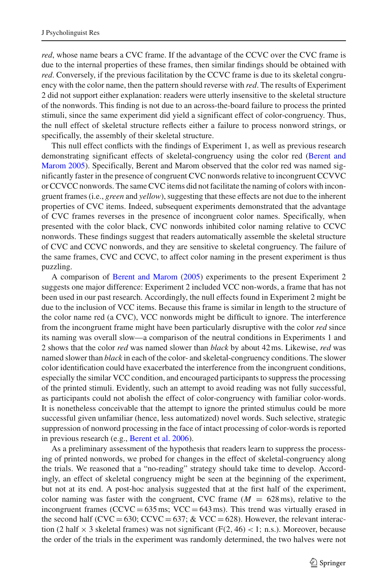*red*, whose name bears a CVC frame. If the advantage of the CCVC over the CVC frame is due to the internal properties of these frames, then similar findings should be obtained with *red*. Conversely, if the previous facilitation by the CCVC frame is due to its skeletal congruency with the color name, then the pattern should reverse with *red*. The results of Experiment 2 did not support either explanation: readers were utterly insensitive to the skeletal structure of the nonwords. This finding is not due to an across-the-board failure to process the printed stimuli, since the same experiment did yield a significant effect of color-congruency. Thus, the null effect of skeletal structure reflects either a failure to process nonword strings, or specifically, the assembly of their skeletal structure.

This null effect conflicts with the findings of Experiment 1, as well as previous research demon[strating](#page-20-2) [significant](#page-20-2) [effects](#page-20-2) [of](#page-20-2) [skeletal-congruency](#page-20-2) [using](#page-20-2) [the](#page-20-2) [color](#page-20-2) [red](#page-20-2) [\(](#page-20-2)Berent and Marom [2005\)](#page-20-2). Specifically, Berent and Marom observed that the color red was named significantly faster in the presence of congruent CVC nonwords relative to incongruent CCVVC or CCVCC nonwords. The same CVC items did not facilitate the naming of colors with incongruent frames (i.e., *green* and *yellow*), suggesting that these effects are not due to the inherent properties of CVC items. Indeed, subsequent experiments demonstrated that the advantage of CVC frames reverses in the presence of incongruent color names. Specifically, when presented with the color black, CVC nonwords inhibited color naming relative to CCVC nonwords. These findings suggest that readers automatically assemble the skeletal structure of CVC and CCVC nonwords, and they are sensitive to skeletal congruency. The failure of the same frames, CVC and CCVC, to affect color naming in the present experiment is thus puzzling.

A comparison of [Berent and Marom](#page-20-2) [\(2005](#page-20-2)) experiments to the present Experiment 2 suggests one major difference: Experiment 2 included VCC non-words, a frame that has not been used in our past research. Accordingly, the null effects found in Experiment 2 might be due to the inclusion of VCC items. Because this frame is similar in length to the structure of the color name red (a CVC), VCC nonwords might be difficult to ignore. The interference from the incongruent frame might have been particularly disruptive with the color *red* since its naming was overall slow—a comparison of the neutral conditions in Experiments 1 and 2 shows that the color *red* was named slower than *black* by about 42 ms. Likewise, *red* was named slower than *black* in each of the color- and skeletal-congruency conditions. The slower color identification could have exacerbated the interference from the incongruent conditions, especially the similar VCC condition, and encouraged participants to suppress the processing of the printed stimuli. Evidently, such an attempt to avoid reading was not fully successful, as participants could not abolish the effect of color-congruency with familiar color-words. It is nonetheless conceivable that the attempt to ignore the printed stimulus could be more successful given unfamiliar (hence, less automatized) novel words. Such selective, strategic suppression of nonword processing in the face of intact processing of color-words is reported in previous research (e.g., [Berent et al. 2006\)](#page-20-7).

As a preliminary assessment of the hypothesis that readers learn to suppress the processing of printed nonwords, we probed for changes in the effect of skeletal-congruency along the trials. We reasoned that a "no-reading" strategy should take time to develop. Accordingly, an effect of skeletal congruency might be seen at the beginning of the experiment, but not at its end. A post-hoc analysis suggested that at the first half of the experiment, color naming was faster with the congruent, CVC frame  $(M = 628 \text{ ms})$ , relative to the incongruent frames (CCVC =  $635 \text{ ms}$ ; VCC =  $643 \text{ ms}$ ). This trend was virtually erased in the second half (CVC = 630; CCVC = 637; & VCC = 628). However, the relevant interaction (2 half  $\times$  3 skeletal frames) was not significant (F(2, 46) < 1; n.s.). Moreover, because the order of the trials in the experiment was randomly determined, the two halves were not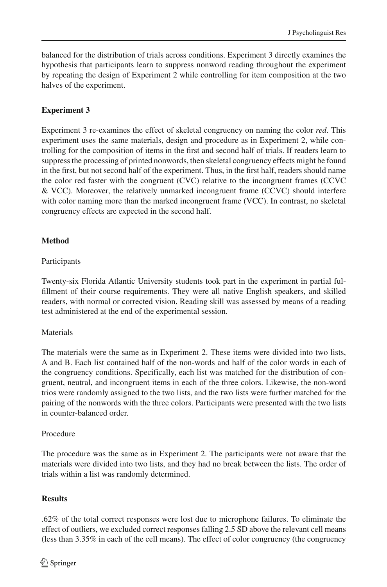balanced for the distribution of trials across conditions. Experiment 3 directly examines the hypothesis that participants learn to suppress nonword reading throughout the experiment by repeating the design of Experiment 2 while controlling for item composition at the two halves of the experiment.

# **Experiment 3**

Experiment 3 re-examines the effect of skeletal congruency on naming the color *red*. This experiment uses the same materials, design and procedure as in Experiment 2, while controlling for the composition of items in the first and second half of trials. If readers learn to suppress the processing of printed nonwords, then skeletal congruency effects might be found in the first, but not second half of the experiment. Thus, in the first half, readers should name the color red faster with the congruent (CVC) relative to the incongruent frames (CCVC & VCC). Moreover, the relatively unmarked incongruent frame (CCVC) should interfere with color naming more than the marked incongruent frame (VCC). In contrast, no skeletal congruency effects are expected in the second half.

# **Method**

# Participants

Twenty-six Florida Atlantic University students took part in the experiment in partial fulfillment of their course requirements. They were all native English speakers, and skilled readers, with normal or corrected vision. Reading skill was assessed by means of a reading test administered at the end of the experimental session.

# Materials

The materials were the same as in Experiment 2. These items were divided into two lists, A and B. Each list contained half of the non-words and half of the color words in each of the congruency conditions. Specifically, each list was matched for the distribution of congruent, neutral, and incongruent items in each of the three colors. Likewise, the non-word trios were randomly assigned to the two lists, and the two lists were further matched for the pairing of the nonwords with the three colors. Participants were presented with the two lists in counter-balanced order.

# Procedure

The procedure was the same as in Experiment 2. The participants were not aware that the materials were divided into two lists, and they had no break between the lists. The order of trials within a list was randomly determined.

# **Results**

.62% of the total correct responses were lost due to microphone failures. To eliminate the effect of outliers, we excluded correct responses falling 2.5 SD above the relevant cell means (less than 3.35% in each of the cell means). The effect of color congruency (the congruency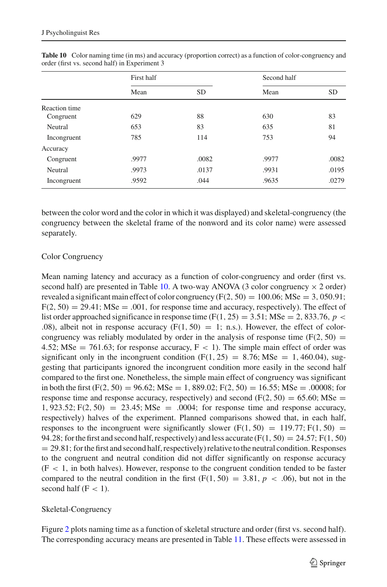|               | First half |           | Second half |           |
|---------------|------------|-----------|-------------|-----------|
|               | Mean       | <b>SD</b> | Mean        | <b>SD</b> |
| Reaction time |            |           |             |           |
| Congruent     | 629        | 88        | 630         | 83        |
| Neutral       | 653        | 83        | 635         | 81        |
| Incongruent   | 785        | 114       | 753         | 94        |
| Accuracy      |            |           |             |           |
| Congruent     | .9977      | .0082     | .9977       | .0082     |
| Neutral       | .9973      | .0137     | .9931       | .0195     |
| Incongruent   | .9592      | .044      | .9635       | .0279     |

<span id="page-14-0"></span>**Table 10** Color naming time (in ms) and accuracy (proportion correct) as a function of color-congruency and order (first vs. second half) in Experiment 3

between the color word and the color in which it was displayed) and skeletal-congruency (the congruency between the skeletal frame of the nonword and its color name) were assessed separately.

# Color Congruency

Mean naming latency and accuracy as a function of color-congruency and order (first vs. second half) are presented in Table [10.](#page-14-0) A two-way ANOVA (3 color congruency  $\times$  2 order) revealed a significant main effect of color congruency ( $F(2, 50) = 100.06$ ; MSe = 3, 050.91;  $F(2, 50) = 29.41$ ; MSe = .001, for response time and accuracy, respectively). The effect of list order approached significance in response time  $(F(1, 25) = 3.51; MSe = 2, 833.76, p <$ .08), albeit not in response accuracy  $(F(1, 50) = 1; n.s.)$ . However, the effect of colorcongruency was reliably modulated by order in the analysis of response time  $(F(2, 50) =$ 4.52; MSe = 761.63; for response accuracy,  $F < 1$ ). The simple main effect of order was significant only in the incongruent condition  $(F(1, 25) = 8.76; MSe = 1,460.04)$ , suggesting that participants ignored the incongruent condition more easily in the second half compared to the first one. Nonetheless, the simple main effect of congruency was significant in both the first (F(2, 50) = 96.62; MSe = 1, 889.02; F(2, 50) = 16.55; MSe = .00008; for response time and response accuracy, respectively) and second ( $F(2, 50) = 65.60$ ; MSe = 1, 923.52; F(2, 50) = 23.45; MSe = .0004; for response time and response accuracy, respectively) halves of the experiment. Planned comparisons showed that, in each half, responses to the incongruent were significantly slower  $(F(1, 50) = 119.77; F(1, 50) =$ 94.28; for the first and second half, respectively) and less accurate  $(F(1, 50) = 24.57; F(1, 50)$  $= 29.81$ ; for the first and second half, respectively) relative to the neutral condition. Responses to the congruent and neutral condition did not differ significantly on response accuracy  $(F < 1)$ , in both halves). However, response to the congruent condition tended to be faster compared to the neutral condition in the first  $(F(1, 50) = 3.81, p < .06)$ , but not in the second half  $(F < 1)$ .

# Skeletal-Congruency

Figure [2](#page-15-1) plots naming time as a function of skeletal structure and order (first vs. second half). The corresponding accuracy means are presented in Table [11.](#page-15-0) These effects were assessed in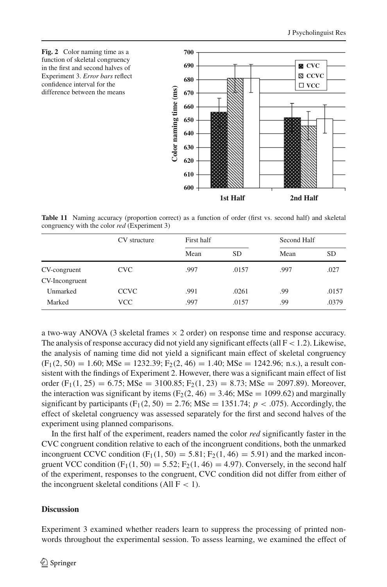

<span id="page-15-0"></span>**Table 11** Naming accuracy (proportion correct) as a function of order (first vs. second half) and skeletal congruency with the color *red* (Experiment 3)

|                | CV structure | First half |           | Second Half |       |
|----------------|--------------|------------|-----------|-------------|-------|
|                |              | Mean       | <b>SD</b> | Mean        | SD    |
| CV-congruent   | <b>CVC</b>   | .997       | .0157     | .997        | .027  |
| CV-Incongruent |              |            |           |             |       |
| Unmarked       | <b>CCVC</b>  | .991       | .0261     | .99         | .0157 |
| Marked         | VCC.         | .997       | .0157     | .99         | .0379 |

a two-way ANOVA (3 skeletal frames  $\times$  2 order) on response time and response accuracy. The analysis of response accuracy did not yield any significant effects (all  $F < 1.2$ ). Likewise, the analysis of naming time did not yield a significant main effect of skeletal congruency  $(F_1(2, 50) = 1.60$ ; MSe = 1232.39;  $F_2(2, 46) = 1.40$ ; MSe = 1242.96; n.s.), a result consistent with the findings of Experiment 2. However, there was a significant main effect of list order  $(F_1(1, 25) = 6.75$ ; MSe = 3100.85;  $F_2(1, 23) = 8.73$ ; MSe = 2097.89). Moreover, the interaction was significant by items  $(F_2(2, 46) = 3.46; MSe = 1099.62)$  and marginally significant by participants (F<sub>1</sub>(2, 50) = 2.76; MSe = 1351.74; *p* < .075). Accordingly, the effect of skeletal congruency was assessed separately for the first and second halves of the experiment using planned comparisons.

In the first half of the experiment, readers named the color *red* significantly faster in the CVC congruent condition relative to each of the incongruent conditions, both the unmarked incongruent CCVC condition (F<sub>1</sub>(1, 50) = 5.81; F<sub>2</sub>(1, 46) = 5.91) and the marked incongruent VCC condition  $(F_1(1, 50) = 5.52; F_2(1, 46) = 4.97)$ . Conversely, in the second half of the experiment, responses to the congruent, CVC condition did not differ from either of the incongruent skeletal conditions (All  $F < 1$ ).

#### **Discussion**

<span id="page-15-1"></span>**Fig. 2** Color naming time as a function of skeletal congruency in the first and second halves of Experiment 3. *Error bars* reflect confidence interval for the difference between the means

Experiment 3 examined whether readers learn to suppress the processing of printed nonwords throughout the experimental session. To assess learning, we examined the effect of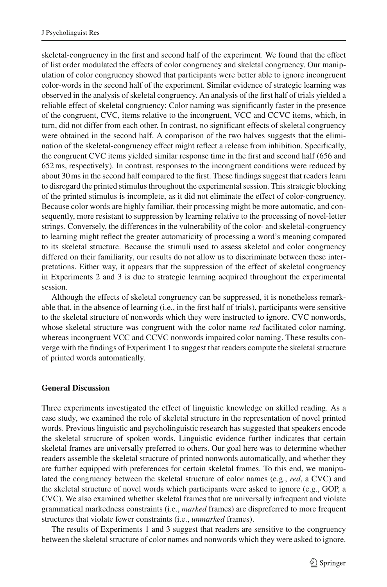skeletal-congruency in the first and second half of the experiment. We found that the effect of list order modulated the effects of color congruency and skeletal congruency. Our manipulation of color congruency showed that participants were better able to ignore incongruent color-words in the second half of the experiment. Similar evidence of strategic learning was observed in the analysis of skeletal congruency. An analysis of the first half of trials yielded a reliable effect of skeletal congruency: Color naming was significantly faster in the presence of the congruent, CVC, items relative to the incongruent, VCC and CCVC items, which, in turn, did not differ from each other. In contrast, no significant effects of skeletal congruency were obtained in the second half. A comparison of the two halves suggests that the elimination of the skeletal-congruency effect might reflect a release from inhibition. Specifically, the congruent CVC items yielded similar response time in the first and second half (656 and 652 ms, respectively). In contrast, responses to the incongruent conditions were reduced by about 30 ms in the second half compared to the first. These findings suggest that readers learn to disregard the printed stimulus throughout the experimental session. This strategic blocking of the printed stimulus is incomplete, as it did not eliminate the effect of color-congruency. Because color words are highly familiar, their processing might be more automatic, and consequently, more resistant to suppression by learning relative to the processing of novel-letter strings. Conversely, the differences in the vulnerability of the color- and skeletal-congruency to learning might reflect the greater automaticity of processing a word's meaning compared to its skeletal structure. Because the stimuli used to assess skeletal and color congruency differed on their familiarity, our results do not allow us to discriminate between these interpretations. Either way, it appears that the suppression of the effect of skeletal congruency in Experiments 2 and 3 is due to strategic learning acquired throughout the experimental session.

Although the effects of skeletal congruency can be suppressed, it is nonetheless remarkable that, in the absence of learning (i.e., in the first half of trials), participants were sensitive to the skeletal structure of nonwords which they were instructed to ignore. CVC nonwords, whose skeletal structure was congruent with the color name *red* facilitated color naming, whereas incongruent VCC and CCVC nonwords impaired color naming. These results converge with the findings of Experiment 1 to suggest that readers compute the skeletal structure of printed words automatically.

#### **General Discussion**

Three experiments investigated the effect of linguistic knowledge on skilled reading. As a case study, we examined the role of skeletal structure in the representation of novel printed words. Previous linguistic and psycholinguistic research has suggested that speakers encode the skeletal structure of spoken words. Linguistic evidence further indicates that certain skeletal frames are universally preferred to others. Our goal here was to determine whether readers assemble the skeletal structure of printed nonwords automatically, and whether they are further equipped with preferences for certain skeletal frames. To this end, we manipulated the congruency between the skeletal structure of color names (e.g., *red*, a CVC) and the skeletal structure of novel words which participants were asked to ignore (e.g., GOP, a CVC). We also examined whether skeletal frames that are universally infrequent and violate grammatical markedness constraints (i.e., *marked* frames) are dispreferred to more frequent structures that violate fewer constraints (i.e., *unmarked* frames).

The results of Experiments 1 and 3 suggest that readers are sensitive to the congruency between the skeletal structure of color names and nonwords which they were asked to ignore.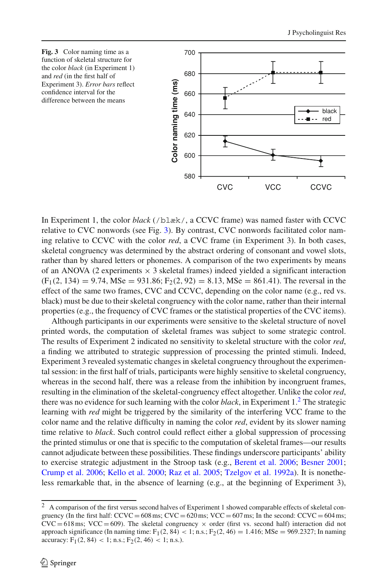<span id="page-17-0"></span>

In Experiment 1, the color *black* (/blæk/, a CCVC frame) was named faster with CCVC relative to CVC nonwords (see Fig. [3\)](#page-17-0). By contrast, CVC nonwords facilitated color naming relative to CCVC with the color *red*, a CVC frame (in Experiment 3). In both cases, skeletal congruency was determined by the abstract ordering of consonant and vowel slots, rather than by shared letters or phonemes. A comparison of the two experiments by means of an ANOVA (2 experiments  $\times$  3 skeletal frames) indeed yielded a significant interaction  $(F_1(2, 134) = 9.74$ , MSe = 931.86;  $F_2(2, 92) = 8.13$ , MSe = 861.41). The reversal in the effect of the same two frames, CVC and CCVC, depending on the color name (e.g., red vs. black) must be due to their skeletal congruency with the color name, rather than their internal properties (e.g., the frequency of CVC frames or the statistical properties of the CVC items).

Although participants in our experiments were sensitive to the skeletal structure of novel printed words, the computation of skeletal frames was subject to some strategic control. The results of Experiment 2 indicated no sensitivity to skeletal structure with the color *red*, a finding we attributed to strategic suppression of processing the printed stimuli. Indeed, Experiment 3 revealed systematic changes in skeletal congruency throughout the experimental session: in the first half of trials, participants were highly sensitive to skeletal congruency, whereas in the second half, there was a release from the inhibition by incongruent frames, resulting in the elimination of the skeletal-congruency effect altogether. Unlike the color*red*, there was no evidence for such learning with the color *black*, in Experiment 1.[2](#page-17-1) The strategic learning with *red* might be triggered by the similarity of the interfering VCC frame to the color name and the relative difficulty in naming the color *red*, evident by its slower naming time relative to *black*. Such control could reflect either a global suppression of processing the printed stimulus or one that is specific to the computation of skeletal frames—our results cannot adjudicate between these possibilities. These findings underscore participants' ability to exercise strategic adjustment in the Stroop task (e.g., [Berent et al. 2006](#page-20-7); [Besner 2001](#page-20-8); [Crump et al. 2006;](#page-21-27) [Kello et al. 2000](#page-21-28); [Raz et al. 2005](#page-21-29); [Tzelgov et al. 1992a\)](#page-21-26). It is nonetheless remarkable that, in the absence of learning (e.g., at the beginning of Experiment 3),

<span id="page-17-1"></span><sup>&</sup>lt;sup>2</sup> A comparison of the first versus second halves of Experiment 1 showed comparable effects of skeletal congruency (In the first half:  $CCVC = 608 \text{ ms}$ ;  $CVC = 620 \text{ ms}$ ;  $VCC = 607 \text{ ms}$ ; In the second:  $CCVC = 604 \text{ ms}$ ;  $CVC = 618$  ms;  $VCC = 609$ ). The skeletal congruency  $\times$  order (first vs. second half) interaction did not approach significance (In naming time:  $F_1(2, 84) < 1$ ; n.s.;  $F_2(2, 46) = 1.416$ ; MSe = 969.2327; In naming accuracy:  $F_1(2, 84) < 1$ ; n.s.;  $F_2(2, 46) < 1$ ; n.s.).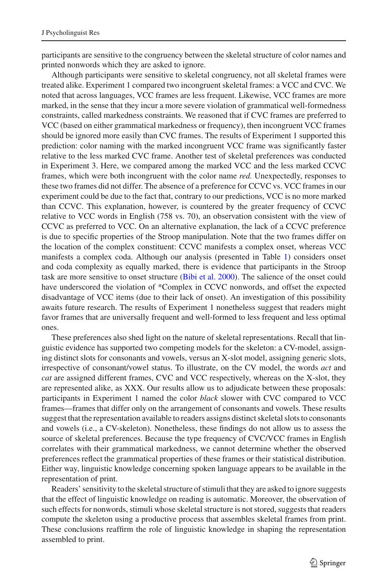participants are sensitive to the congruency between the skeletal structure of color names and printed nonwords which they are asked to ignore.

Although participants were sensitive to skeletal congruency, not all skeletal frames were treated alike. Experiment 1 compared two incongruent skeletal frames: a VCC and CVC. We noted that across languages, VCC frames are less frequent. Likewise, VCC frames are more marked, in the sense that they incur a more severe violation of grammatical well-formedness constraints, called markedness constraints. We reasoned that if CVC frames are preferred to VCC (based on either grammatical markedness or frequency), then incongruent VCC frames should be ignored more easily than CVC frames. The results of Experiment 1 supported this prediction: color naming with the marked incongruent VCC frame was significantly faster relative to the less marked CVC frame. Another test of skeletal preferences was conducted in Experiment 3. Here, we compared among the marked VCC and the less marked CCVC frames, which were both incongruent with the color name *red.* Unexpectedly, responses to these two frames did not differ. The absence of a preference for CCVC vs. VCC frames in our experiment could be due to the fact that, contrary to our predictions, VCC is no more marked than CCVC. This explanation, however, is countered by the greater frequency of CCVC relative to VCC words in English (758 vs. 70), an observation consistent with the view of CCVC as preferred to VCC. On an alternative explanation, the lack of a CCVC preference is due to specific properties of the Stroop manipulation. Note that the two frames differ on the location of the complex constituent: CCVC manifests a complex onset, whereas VCC manifests a complex coda. Although our analysis (presented in Table [1\)](#page-3-1) considers onset and coda complexity as equally marked, there is evidence that participants in the Stroop task are more sensitive to onset structure [\(Bibi et al. 2000\)](#page-20-9). The salience of the onset could have underscored the violation of \*Complex in CCVC nonwords, and offset the expected disadvantage of VCC items (due to their lack of onset). An investigation of this possibility awaits future research. The results of Experiment 1 nonetheless suggest that readers might favor frames that are universally frequent and well-formed to less frequent and less optimal ones.

These preferences also shed light on the nature of skeletal representations. Recall that linguistic evidence has supported two competing models for the skeleton: a CV-model, assigning distinct slots for consonants and vowels, versus an X-slot model, assigning generic slots, irrespective of consonant/vowel status. To illustrate, on the CV model, the words *act* and *cat* are assigned different frames, CVC and VCC respectively, whereas on the X-slot, they are represented alike, as XXX. Our results allow us to adjudicate between these proposals: participants in Experiment 1 named the color *black* slower with CVC compared to VCC frames—frames that differ only on the arrangement of consonants and vowels. These results suggest that the representation available to readers assigns distinct skeletal slots to consonants and vowels (i.e., a CV-skeleton). Nonetheless, these findings do not allow us to assess the source of skeletal preferences. Because the type frequency of CVC/VCC frames in English correlates with their grammatical markedness, we cannot determine whether the observed preferences reflect the grammatical properties of these frames or their statistical distribution. Either way, linguistic knowledge concerning spoken language appears to be available in the representation of print.

Readers' sensitivity to the skeletal structure of stimuli that they are asked to ignore suggests that the effect of linguistic knowledge on reading is automatic. Moreover, the observation of such effects for nonwords, stimuli whose skeletal structure is not stored, suggests that readers compute the skeleton using a productive process that assembles skeletal frames from print. These conclusions reaffirm the role of linguistic knowledge in shaping the representation assembled to print.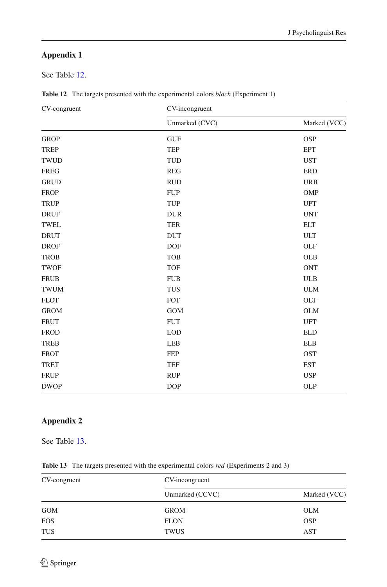# **Appendix 1**

See Table [12.](#page-19-1)

<span id="page-19-1"></span>

| CV-congruent | CV-incongruent |              |  |  |
|--------------|----------------|--------------|--|--|
|              | Unmarked (CVC) | Marked (VCC) |  |  |
| <b>GROP</b>  | <b>GUF</b>     | <b>OSP</b>   |  |  |
| <b>TREP</b>  | <b>TEP</b>     | <b>EPT</b>   |  |  |
| TWUD         | TUD            | <b>UST</b>   |  |  |
| FREG         | <b>REG</b>     | <b>ERD</b>   |  |  |
| <b>GRUD</b>  | <b>RUD</b>     | <b>URB</b>   |  |  |
| <b>FROP</b>  | <b>FUP</b>     | OMP          |  |  |
| <b>TRUP</b>  | <b>TUP</b>     | <b>UPT</b>   |  |  |
| <b>DRUF</b>  | <b>DUR</b>     | <b>UNT</b>   |  |  |
| <b>TWEL</b>  | <b>TER</b>     | <b>ELT</b>   |  |  |
| <b>DRUT</b>  | <b>DUT</b>     | <b>ULT</b>   |  |  |
| <b>DROF</b>  | <b>DOF</b>     | OLF          |  |  |
| <b>TROB</b>  | <b>TOB</b>     | <b>OLB</b>   |  |  |
| <b>TWOF</b>  | <b>TOF</b>     | <b>ONT</b>   |  |  |
| <b>FRUB</b>  | <b>FUB</b>     | <b>ULB</b>   |  |  |
| <b>TWUM</b>  | <b>TUS</b>     | <b>ULM</b>   |  |  |
| <b>FLOT</b>  | <b>FOT</b>     | <b>OLT</b>   |  |  |
| <b>GROM</b>  | <b>GOM</b>     | <b>OLM</b>   |  |  |
| <b>FRUT</b>  | <b>FUT</b>     | <b>UFT</b>   |  |  |
| <b>FROD</b>  | <b>LOD</b>     | <b>ELD</b>   |  |  |
| <b>TREB</b>  | LEB            | <b>ELB</b>   |  |  |
| <b>FROT</b>  | <b>FEP</b>     | <b>OST</b>   |  |  |
| <b>TRET</b>  | <b>TEF</b>     | <b>EST</b>   |  |  |
| <b>FRUP</b>  | <b>RUP</b>     | <b>USP</b>   |  |  |
| <b>DWOP</b>  | <b>DOP</b>     | <b>OLP</b>   |  |  |

**Table 12** The targets presented with the experimental colors *black* (Experiment 1)

# **Appendix 2**

See Table [13.](#page-19-0)

|  | Table 13 The targets presented with the experimental colors red (Experiments 2 and 3) |  |  |  |  |  |
|--|---------------------------------------------------------------------------------------|--|--|--|--|--|
|--|---------------------------------------------------------------------------------------|--|--|--|--|--|

<span id="page-19-0"></span>

| CV-congruent | CV-incongruent  |              |  |  |
|--------------|-----------------|--------------|--|--|
|              | Unmarked (CCVC) | Marked (VCC) |  |  |
| <b>GOM</b>   | <b>GROM</b>     | <b>OLM</b>   |  |  |
| <b>FOS</b>   | <b>FLON</b>     | <b>OSP</b>   |  |  |
| <b>TUS</b>   | <b>TWUS</b>     | AST          |  |  |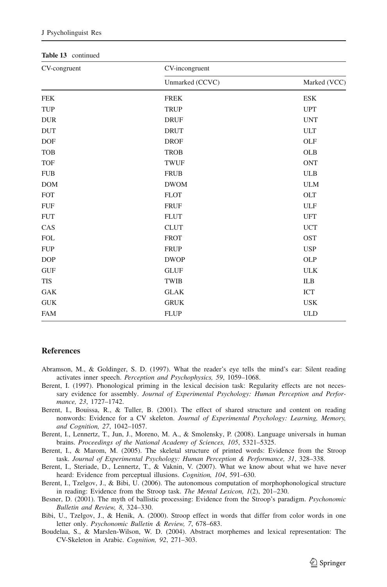| <b>Table 13</b> continued |
|---------------------------|
|---------------------------|

| CV-congruent | CV-incongruent  |              |  |  |
|--------------|-----------------|--------------|--|--|
|              | Unmarked (CCVC) | Marked (VCC) |  |  |
| <b>FEK</b>   | <b>FREK</b>     | <b>ESK</b>   |  |  |
| <b>TUP</b>   | <b>TRUP</b>     | <b>UPT</b>   |  |  |
| <b>DUR</b>   | <b>DRUF</b>     | <b>UNT</b>   |  |  |
| <b>DUT</b>   | <b>DRUT</b>     | <b>ULT</b>   |  |  |
| <b>DOF</b>   | <b>DROF</b>     | OLF          |  |  |
| <b>TOB</b>   | <b>TROB</b>     | <b>OLB</b>   |  |  |
| <b>TOF</b>   | TWUF            | <b>ONT</b>   |  |  |
| <b>FUB</b>   | <b>FRUB</b>     | <b>ULB</b>   |  |  |
| <b>DOM</b>   | <b>DWOM</b>     | <b>ULM</b>   |  |  |
| <b>FOT</b>   | <b>FLOT</b>     | <b>OLT</b>   |  |  |
| <b>FUF</b>   | <b>FRUF</b>     | <b>ULF</b>   |  |  |
| <b>FUT</b>   | <b>FLUT</b>     | <b>UFT</b>   |  |  |
| CAS          | <b>CLUT</b>     | <b>UCT</b>   |  |  |
| <b>FOL</b>   | <b>FROT</b>     | <b>OST</b>   |  |  |
| <b>FUP</b>   | <b>FRUP</b>     | <b>USP</b>   |  |  |
| <b>DOP</b>   | <b>DWOP</b>     | <b>OLP</b>   |  |  |
| <b>GUF</b>   | <b>GLUF</b>     | <b>ULK</b>   |  |  |
| <b>TIS</b>   | TWIB            | ILB          |  |  |
| <b>GAK</b>   | <b>GLAK</b>     | ICT          |  |  |
| GUK          | <b>GRUK</b>     | <b>USK</b>   |  |  |
| <b>FAM</b>   | <b>FLUP</b>     | <b>ULD</b>   |  |  |

#### **References**

- <span id="page-20-1"></span>Abramson, M., & Goldinger, S. D. (1997). What the reader's eye tells the mind's ear: Silent reading activates inner speech. *Perception and Psychophysics, 59*, 1059–1068.
- <span id="page-20-0"></span>Berent, I. (1997). Phonological priming in the lexical decision task: Regularity effects are not necessary evidence for assembly. *Journal of Experimental Psychology: Human Perception and Performance, 23*, 1727–1742.
- <span id="page-20-3"></span>Berent, I., Bouissa, R., & Tuller, B. (2001). The effect of shared structure and content on reading nonwords: Evidence for a CV skeleton. *Journal of Experimental Psychology: Learning, Memory, and Cognition, 27*, 1042–1057.
- <span id="page-20-6"></span>Berent, I., Lennertz, T., Jun, J., Moreno, M. A., & Smolensky, P. (2008). Language universals in human brains. *Proceedings of the National Academy of Sciences, 105*, 5321–5325.
- <span id="page-20-2"></span>Berent, I., & Marom, M. (2005). The skeletal structure of printed words: Evidence from the Stroop task. *Journal of Experimental Psychology: Human Perception & Performance, 31*, 328–338.
- <span id="page-20-5"></span>Berent, I., Steriade, D., Lennertz, T., & Vaknin, V. (2007). What we know about what we have never heard: Evidence from perceptual illusions. *Cognition, 104*, 591–630.
- <span id="page-20-7"></span>Berent, I., Tzelgov, J., & Bibi, U. (2006). The autonomous computation of morphophonological structure in reading: Evidence from the Stroop task. *The Mental Lexicon, 1*(2), 201–230.
- <span id="page-20-8"></span>Besner, D. (2001). The myth of ballistic processing: Evidence from the Stroop's paradigm. *Psychonomic Bulletin and Review, 8*, 324–330.
- <span id="page-20-9"></span>Bibi, U., Tzelgov, J., & Henik, A. (2000). Stroop effect in words that differ from color words in one letter only. *Psychonomic Bulletin & Review, 7*, 678–683.
- <span id="page-20-4"></span>Boudelaa, S., & Marslen-Wilson, W. D. (2004). Abstract morphemes and lexical representation: The CV-Skeleton in Arabic. *Cognition, 92*, 271–303.